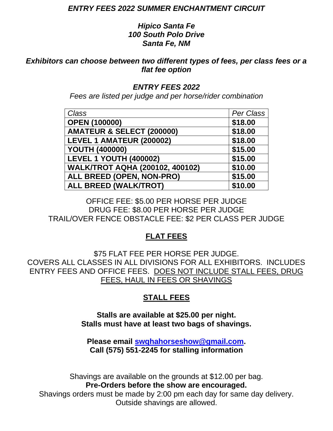### *ENTRY FEES 2022 SUMMER ENCHANTMENT CIRCUIT*

## *Hipico Santa Fe 100 South Polo Drive Santa Fe, NM*

*Exhibitors can choose between two different types of fees, per class fees or a flat fee option*

## *ENTRY FEES 2022*

*Fees are listed per judge and per horse/rider combination*

| Class                                  | Per Class |
|----------------------------------------|-----------|
| <b>OPEN (100000)</b>                   | \$18.00   |
| AMATEUR & SELECT (200000)              | \$18.00   |
| LEVEL 1 AMATEUR (200002)               | \$18.00   |
| <b>YOUTH (400000)</b>                  | \$15.00   |
| <b>LEVEL 1 YOUTH (400002)</b>          | \$15.00   |
| <b>WALK/TROT AQHA (200102, 400102)</b> | \$10.00   |
| ALL BREED (OPEN, NON-PRO)              | \$15.00   |
| <b>ALL BREED (WALK/TROT)</b>           | \$10.00   |

OFFICE FEE: \$5.00 PER HORSE PER JUDGE DRUG FEE: \$8.00 PER HORSE PER JUDGE TRAIL/OVER FENCE OBSTACLE FEE: \$2 PER CLASS PER JUDGE

# **FLAT FEES**

\$75 FLAT FEE PER HORSE PER JUDGE. COVERS ALL CLASSES IN ALL DIVISIONS FOR ALL EXHIBITORS. INCLUDES ENTRY FEES AND OFFICE FEES. DOES NOT INCLUDE STALL FEES, DRUG FEES, HAUL IN FEES OR SHAVINGS

# **STALL FEES**

**Stalls are available at \$25.00 per night. Stalls must have at least two bags of shavings.** 

**Please email [swqhahorseshow@gmail.com.](mailto:swqhahorseshow@gmail.com) Call (575) 551-2245 for stalling information**

Shavings are available on the grounds at \$12.00 per bag. **Pre-Orders before the show are encouraged.**

Shavings orders must be made by 2:00 pm each day for same day delivery. Outside shavings are allowed.